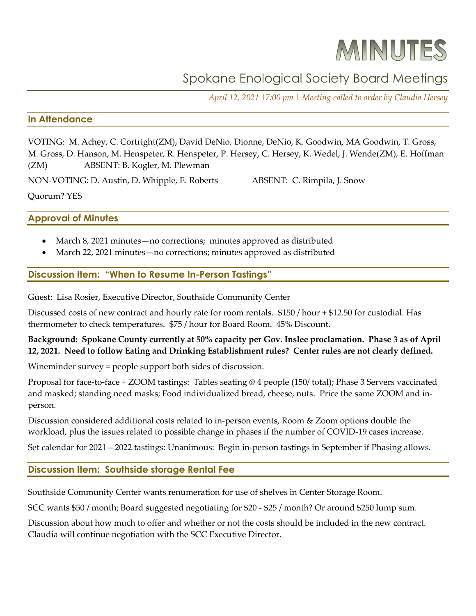# MINUTES

# Spokane Enological Society Board Meetings

*April 12, 2021 |7:00 pm | Meeting called to order by Claudia Hersey*

## **In Attendance**

VOTING: M. Achey, C. Cortright(ZM), David DeNio, Dionne, DeNio, K. Goodwin, MA Goodwin, T. Gross, M. Gross, D. Hanson, M. Henspeter, R. Henspeter, P. Hersey, C. Hersey, K. Wedel, J. Wende(ZM), E. Hoffman (ZM) ABSENT: B. Kogler, M. Plewman

NON-VOTING: D. Austin, D. Whipple, E. Roberts ABSENT: C. Rimpila, J. Snow

Quorum? YES

**Approval of Minutes**

- March 8, 2021 minutes—no corrections; minutes approved as distributed
- March 22, 2021 minutes—no corrections; minutes approved as distributed

#### **Discussion Item: "When to Resume In-Person Tastings"**

Guest: Lisa Rosier, Executive Director, Southside Community Center

Discussed costs of new contract and hourly rate for room rentals. \$150 / hour + \$12.50 for custodial. Has thermometer to check temperatures. \$75 / hour for Board Room. 45% Discount.

# **Background: Spokane County currently at 50% capacity per Gov. Inslee proclamation. Phase 3 as of April 12, 2021. Need to follow Eating and Drinking Establishment rules? Center rules are not clearly defined.**

Wineminder survey = people support both sides of discussion.

Proposal for face-to-face + ZOOM tastings: Tables seating @ 4 people (150/ total); Phase 3 Servers vaccinated and masked; standing need masks; Food individualized bread, cheese, nuts. Price the same ZOOM and inperson.

Discussion considered additional costs related to in-person events, Room & Zoom options double the workload, plus the issues related to possible change in phases if the number of COVID-19 cases increase.

Set calendar for 2021 – 2022 tastings: Unanimous: Begin in-person tastings in September if Phasing allows.

# **Discussion Item: Southside storage Rental Fee**

Southside Community Center wants renumeration for use of shelves in Center Storage Room.

SCC wants \$50 / month; Board suggested negotiating for \$20 - \$25 / month? Or around \$250 lump sum.

Discussion about how much to offer and whether or not the costs should be included in the new contract. Claudia will continue negotiation with the SCC Executive Director.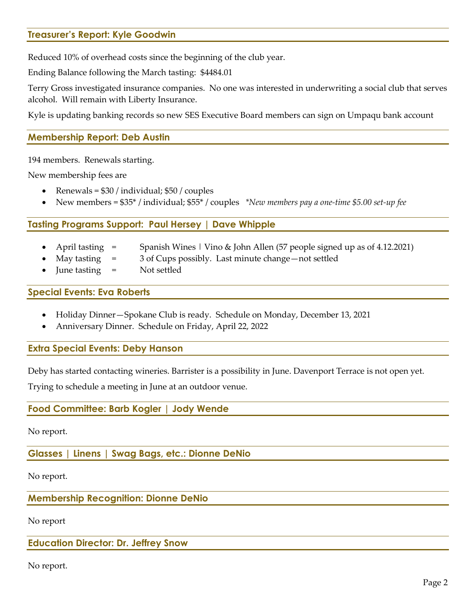# **Treasurer's Report: Kyle Goodwin**

Reduced 10% of overhead costs since the beginning of the club year.

Ending Balance following the March tasting: \$4484.01

Terry Gross investigated insurance companies. No one was interested in underwriting a social club that serves alcohol. Will remain with Liberty Insurance.

Kyle is updating banking records so new SES Executive Board members can sign on Umpaqu bank account

## **Membership Report: Deb Austin**

194 members. Renewals starting.

New membership fees are

- Renewals = \$30 / individual; \$50 / couples
- New members = \$35\* / individual; \$55\* / couples *\*New members pay a one-time \$5.00 set-up fee*

#### **Tasting Programs Support: Paul Hersey | Dave Whipple**

- April tasting = Spanish Wines | Vino & John Allen (57 people signed up as of 4.12.2021)
	- May tasting = 3 of Cups possibly. Last minute change—not settled
- June tasting = Not settled

#### **Special Events: Eva Roberts**

- Holiday Dinner—Spokane Club is ready. Schedule on Monday, December 13, 2021
- Anniversary Dinner. Schedule on Friday, April 22, 2022

#### **Extra Special Events: Deby Hanson**

Deby has started contacting wineries. Barrister is a possibility in June. Davenport Terrace is not open yet.

Trying to schedule a meeting in June at an outdoor venue.

#### **Food Committee: Barb Kogler | Jody Wende**

No report.

**Glasses | Linens | Swag Bags, etc.: Dionne DeNio**

No report.

**Membership Recognition: Dionne DeNio**

No report

#### **Education Director: Dr. Jeffrey Snow**

No report.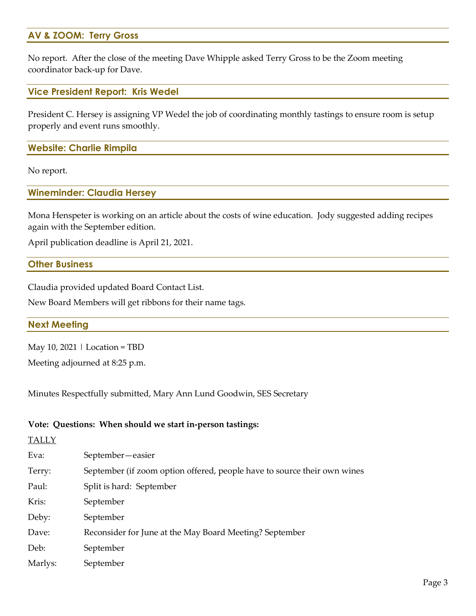# **AV & ZOOM: Terry Gross**

No report. After the close of the meeting Dave Whipple asked Terry Gross to be the Zoom meeting coordinator back-up for Dave.

#### **Vice President Report: Kris Wedel**

President C. Hersey is assigning VP Wedel the job of coordinating monthly tastings to ensure room is setup properly and event runs smoothly.

# **Website: Charlie Rimpila**

No report.

#### **Wineminder: Claudia Hersey**

Mona Henspeter is working on an article about the costs of wine education. Jody suggested adding recipes again with the September edition.

April publication deadline is April 21, 2021.

#### **Other Business**

Claudia provided updated Board Contact List.

New Board Members will get ribbons for their name tags.

#### **Next Meeting**

May 10, 2021 | Location = TBD

Meeting adjourned at 8:25 p.m.

Minutes Respectfully submitted, Mary Ann Lund Goodwin, SES Secretary

#### **Vote: Questions: When should we start in-person tastings:**

# **TALLY**

| Eva:    | September-easier                                                         |
|---------|--------------------------------------------------------------------------|
| Terry:  | September (if zoom option offered, people have to source their own wines |
| Paul:   | Split is hard: September                                                 |
| Kris:   | September                                                                |
| Deby:   | September                                                                |
| Dave:   | Reconsider for June at the May Board Meeting? September                  |
| Deb:    | September                                                                |
| Marlys: | September                                                                |